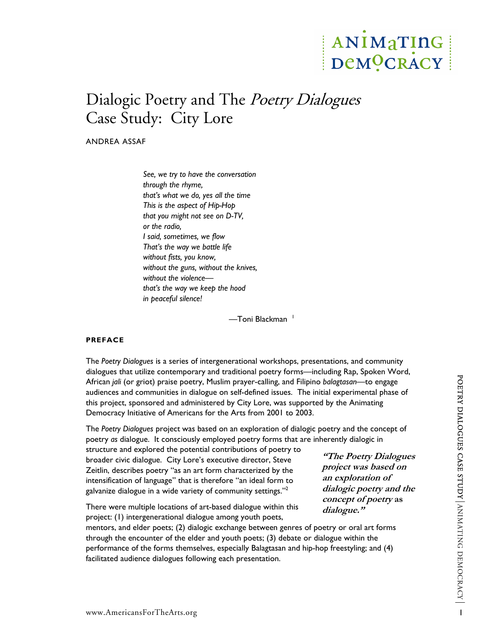# ANIMATING DeMOCRACY

# Dialogic Poetry and The *Poetry Dialogues* Case Study: City Lore

ANDREA ASSAF

*See, we try to have the conversation through the rhyme, that's what we do, yes all the time This is the aspect of Hip-Hop that you might not see on D-TV, or the radio, I said, sometimes, we flow That's the way we battle life without fists, you know, without the guns, without the knives, without the violence that's the way we keep the hood in peaceful silence!* 

-Toni Blackman<sup>[1](#page-20-0)</sup>

# **PREFACE**

The *Poetry Dialogues* is a series of intergenerational workshops, presentations, and community dialogues that utilize contemporary and traditional poetry forms—including Rap, Spoken Word, African *jali* (or griot) praise poetry, Muslim prayer-calling, and Filipino *balagtasan*—to engage audiences and communities in dialogue on self-defined issues. The initial experimental phase of this project, sponsored and administered by City Lore, was supported by the Animating Democracy Initiative of Americans for the Arts from 2001 to 2003.

The *Poetry Dialogues* project was based on an exploration of dialogic poetry and the concept of poetry *as* dialogue. It consciously employed poetry forms that are inherently dialogic in

structure and explored the potential contributions of poetry to broader civic dialogue. City Lore's executive director, Steve Zeitlin, describes poetry "as an art form characterized by the intensification of language" that is therefore "an ideal form to galvanize dialogue in a wide variety of community settings."<sup>2</sup>

There were multiple locations of art-based dialogue within this project: (1) intergenerational dialogue among youth poets,

mentors, and elder poets; (2) dialogic exchange between genres of poetry or oral art forms through the encounter of the elder and youth poets; (3) debate or dialogue within the performance of the forms themselves, especially Balagtasan and hip-hop freestyling; and (4) facilitated audience dialogues following each presentation.

**"The Poetry Dialogues project was based on an exploration of dialogic poetry and the concept of poetry as dialogue."**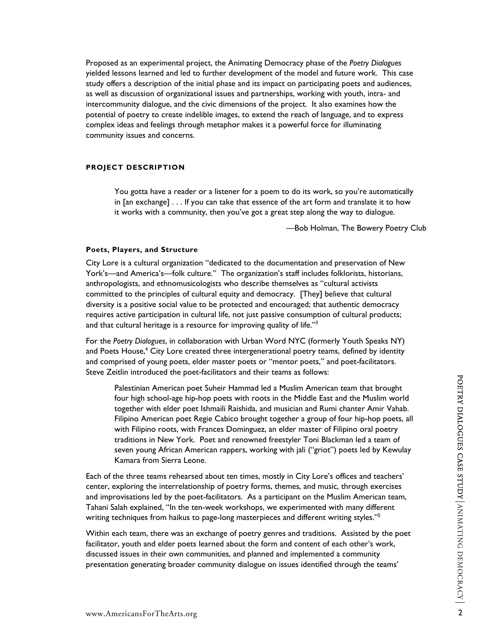Proposed as an experimental project, the Animating Democracy phase of the *Poetry Dialogues* yielded lessons learned and led to further development of the model and future work. This case study offers a description of the initial phase and its impact on participating poets and audiences, as well as discussion of organizational issues and partnerships, working with youth, intra- and intercommunity dialogue, and the civic dimensions of the project. It also examines how the potential of poetry to create indelible images, to extend the reach of language, and to express complex ideas and feelings through metaphor makes it a powerful force for illuminating community issues and concerns.

# **PROJECT DESCRIPTION**

You gotta have a reader or a listener for a poem to do its work, so you're automatically in [an exchange] . . . If you can take that essence of the art form and translate it to how it works with a community, then you've got a great step along the way to dialogue.

—Bob Holman, The Bowery Poetry Club

#### **Poets, Players, and Structure**

City Lore is a cultural organization "dedicated to the documentation and preservation of New York's—and America's—folk culture." The organization's staff includes folklorists, historians, anthropologists, and ethnomusicologists who describe themselves as "cultural activists committed to the principles of cultural equity and democracy. [They] believe that cultural diversity is a positive social value to be protected and encouraged; that authentic democracy requires active participation in cultural life, not just passive consumption of cultural products; and that cultural heritage is a resource for improving quality of life." $3$ 

For the *Poetry Dialogues*, in collaboration with Urban Word NYC (formerly Youth Speaks NY) and Poets House,<sup>[4](#page-20-3)</sup> City Lore created three intergenerational poetry teams, defined by identity and comprised of young poets, elder master poets or "mentor poets," and poet-facilitators.

Steve Zeitlin introduced the poet-facilitators and their teams as follows:<br>O<br>Palestinian American poet Suheir Hammad led a Muslim American team that brought<br>four high school-age hin-hon poets with roots in the Middle East Palestinian American poet Suheir Hammad led a Muslim American team that brought four high school-age hip-hop poets with roots in the Middle East and the Muslim world together with elder poet Ishmaili Raishida, and musician and Rumi chanter Amir Vahab. Filipino American poet Regie Cabico brought together a group of four hip-hop poets, all with Filipino roots, with Frances Dominguez, an elder master of Filipino oral poetry traditions in New York. Poet and renowned freestyler Toni Blackman led a team of seven young African American rappers, working with jali ("griot") poets led by Kewulay Kamara from Sierra Leone.

Each of the three teams rehearsed about ten times, mostly in City Lore's offices and teachers' center, exploring the interrelationship of poetry forms, themes, and music, through exercises and improvisations led by the poet-facilitators. As a participant on the Muslim American team, Tahani Salah explained, "In the ten-week workshops, we experimented with many different writing techniques from haikus to page-long masterpieces and different writing styles."<sup>[5](#page-20-4)</sup>

Within each team, there was an exchange of poetry genres and traditions. Assisted by the poet facilitator, youth and elder poets learned about the form and content of each other's work, discussed issues in their own communities, and planned and implemented a community presentation generating broader community dialogue on issues identified through the teams'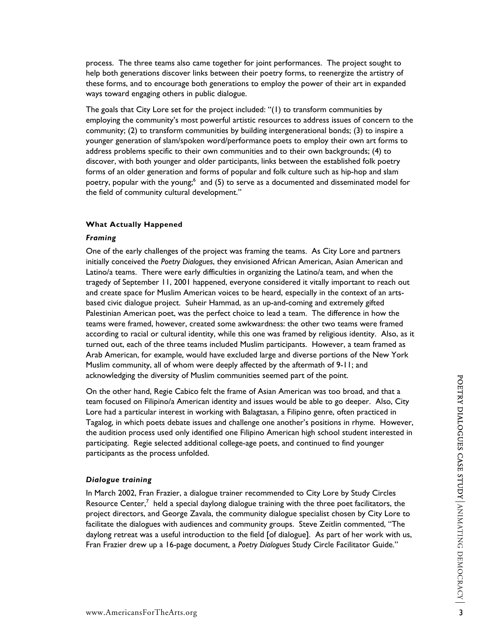process. The three teams also came together for joint performances. The project sought to help both generations discover links between their poetry forms, to reenergize the artistry of these forms, and to encourage both generations to employ the power of their art in expanded ways toward engaging others in public dialogue.

The goals that City Lore set for the project included: "(1) to transform communities by employing the community's most powerful artistic resources to address issues of concern to the community; (2) to transform communities by building intergenerational bonds; (3) to inspire a younger generation of slam/spoken word/performance poets to employ their own art forms to address problems specific to their own communities and to their own backgrounds; (4) to discover, with both younger and older participants, links between the established folk poetry forms of an older generation and forms of popular and folk culture such as hip-hop and slam poetry, popular with the young;<sup>6</sup> and (5) to serve as a documented and disseminated model for the field of community cultural development."

# **What Actually Happened**

#### *Framing*

One of the early challenges of the project was framing the teams. As City Lore and partners initially conceived the *Poetry Dialogues*, they envisioned African American, Asian American and Latino/a teams. There were early difficulties in organizing the Latino/a team, and when the tragedy of September 11, 2001 happened, everyone considered it vitally important to reach out and create space for Muslim American voices to be heard, especially in the context of an artsbased civic dialogue project. Suheir Hammad, as an up-and-coming and extremely gifted Palestinian American poet, was the perfect choice to lead a team. The difference in how the teams were framed, however, created some awkwardness: the other two teams were framed according to racial or cultural identity, while this one was framed by religious identity. Also, as it turned out, each of the three teams included Muslim participants. However, a team framed as Arab American, for example, would have excluded large and diverse portions of the New York Muslim community, all of whom were deeply affected by the aftermath of 9-11; and

acknowledging the diversity of Muslim communities seemed part of the point.<br>On the other hand, Regie Cabico felt the frame of Asian American was too broad, and that a<br>H team focused on Filipino/a American identity and issues would be able to go deeper. Also, City Lore had a particular interest in working with Balagtasan, a Filipino genre, often practiced in Tagalog, in which poets debate issues and challenge one another's positions in rhyme. However, the audition process used only identified one Filipino American high school student interested in participating. Regie selected additional college-age poets, and continued to find younger participants as the process unfolded.

# *Dialogue training*

In March 2002, Fran Frazier, a dialogue trainer recommended to City Lore by Study Circles Resource Center,<sup>[7](#page-20-6)</sup> held a special daylong dialogue training with the three poet facilitators, the project directors, and George Zavala, the community dialogue specialist chosen by City Lore to facilitate the dialogues with audiences and community groups. Steve Zeitlin commented, "The daylong retreat was a useful introduction to the field [of dialogue]. As part of her work with us, Fran Frazier drew up a 16-page document, a *Poetry Dialogues* Study Circle Facilitator Guide."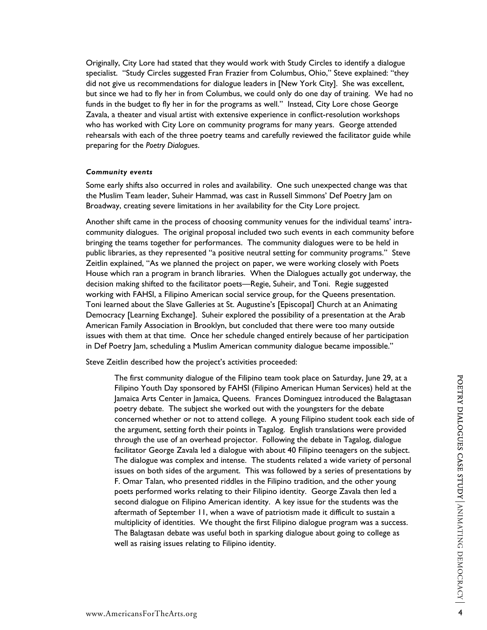Originally, City Lore had stated that they would work with Study Circles to identify a dialogue specialist. "Study Circles suggested Fran Frazier from Columbus, Ohio," Steve explained: "they did not give us recommendations for dialogue leaders in [New York City]. She was excellent, but since we had to fly her in from Columbus, we could only do one day of training. We had no funds in the budget to fly her in for the programs as well." Instead, City Lore chose George Zavala, a theater and visual artist with extensive experience in conflict-resolution workshops who has worked with City Lore on community programs for many years. George attended rehearsals with each of the three poetry teams and carefully reviewed the facilitator guide while preparing for the *Poetry Dialogues*.

#### *Community events*

Some early shifts also occurred in roles and availability. One such unexpected change was that the Muslim Team leader, Suheir Hammad, was cast in Russell Simmons' Def Poetry Jam on Broadway, creating severe limitations in her availability for the City Lore project.

Another shift came in the process of choosing community venues for the individual teams' intracommunity dialogues. The original proposal included two such events in each community before bringing the teams together for performances. The community dialogues were to be held in public libraries, as they represented "a positive neutral setting for community programs." Steve Zeitlin explained, "As we planned the project on paper, we were working closely with Poets House which ran a program in branch libraries. When the Dialogues actually got underway, the decision making shifted to the facilitator poets—Regie, Suheir, and Toni. Regie suggested working with FAHSI, a Filipino American social service group, for the Queens presentation. Toni learned about the Slave Galleries at St. Augustine's [Episcopal] Church at an Animating Democracy [Learning Exchange]. Suheir explored the possibility of a presentation at the Arab American Family Association in Brooklyn, but concluded that there were too many outside issues with them at that time. Once her schedule changed entirely because of her participation in Def Poetry Jam, scheduling a Muslim American community dialogue became impossible."

Steve Zeitlin described how the project's activities proceeded:

The first community dialogue of the Filipino team took place on Saturday, June 29, at a Filipino Youth Day sponsored by FAHSI (Filipino American Human Services) held at the Jamaica Arts Center in Jamaica, Queens. Frances Dominguez introduced the Balagtasan poetry debate. The subject she worked out with the youngsters for the debate concerned whether or not to attend college. A young Filipino student took each side of the argument, setting forth their points in Tagalog. English translations were provided through the use of an overhead projector. Following the debate in Tagalog, dialogue facilitator George Zavala led a dialogue with about 40 Filipino teenagers on the subject. The dialogue was complex and intense. The students related a wide variety of personal issues on both sides of the argument. This was followed by a series of presentations by F. Omar Talan, who presented riddles in the Filipino tradition, and the other young poets performed works relating to their Filipino identity. George Zavala then led a second dialogue on Filipino American identity. A key issue for the students was the aftermath of September 11, when a wave of patriotism made it difficult to sustain a multiplicity of identities. We thought the first Filipino dialogue program was a success. The Balagtasan debate was useful both in sparking dialogue about going to college as well as raising issues relating to Filipino identity.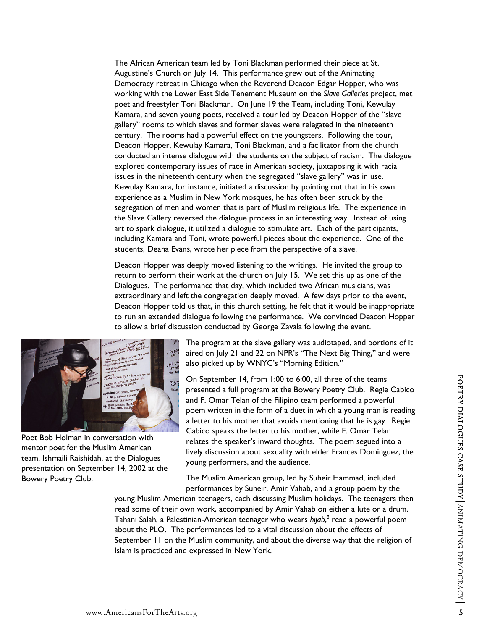The African American team led by Toni Blackman performed their piece at St. Augustine's Church on July 14. This performance grew out of the Animating Democracy retreat in Chicago when the Reverend Deacon Edgar Hopper, who was working with the Lower East Side Tenement Museum on the *Slave Galleries* project, met poet and freestyler Toni Blackman. On June 19 the Team, including Toni, Kewulay Kamara, and seven young poets, received a tour led by Deacon Hopper of the "slave gallery" rooms to which slaves and former slaves were relegated in the nineteenth century. The rooms had a powerful effect on the youngsters. Following the tour, Deacon Hopper, Kewulay Kamara, Toni Blackman, and a facilitator from the church conducted an intense dialogue with the students on the subject of racism. The dialogue explored contemporary issues of race in American society, juxtaposing it with racial issues in the nineteenth century when the segregated "slave gallery" was in use. Kewulay Kamara, for instance, initiated a discussion by pointing out that in his own experience as a Muslim in New York mosques, he has often been struck by the segregation of men and women that is part of Muslim religious life. The experience in the Slave Gallery reversed the dialogue process in an interesting way. Instead of using art to spark dialogue, it utilized a dialogue to stimulate art. Each of the participants, including Kamara and Toni, wrote powerful pieces about the experience. One of the students, Deana Evans, wrote her piece from the perspective of a slave.

Deacon Hopper was deeply moved listening to the writings. He invited the group to return to perform their work at the church on July 15. We set this up as one of the Dialogues. The performance that day, which included two African musicians, was extraordinary and left the congregation deeply moved. A few days prior to the event, Deacon Hopper told us that, in this church setting, he felt that it would be inappropriate to run an extended dialogue following the performance. We convinced Deacon Hopper to allow a brief discussion conducted by George Zavala following the event.



Poet Bob Holman in conversation with mentor poet for the Muslim American team, Ishmaili Raishidah, at the Dialogues presentation on September 14, 2002 at the Bowery Poetry Club.

The program at the slave gallery was audiotaped, and portions of it aired on July 21 and 22 on NPR's "The Next Big Thing," and were also picked up by WNYC's "Morning Edition."

On September 14, from 1:00 to 6:00, all three of the teams presented a full program at the Bowery Poetry Club. Regie Cabico and F. Omar Telan of the Filipino team performed a powerful poem written in the form of a duet in which a young man is r eading a letter to his mother that avoids mentioning that he is gay. Regie Cabico speaks the letter to his mother, while F. Omar Telan relates the speaker's inward thoughts. The poem segued into a lively discussion about sexuality with elder Frances Dominguez, the young performers, and the audience.

The Muslim American group, led by Suheir Hammad, included performances by Suheir, Amir Vahab, and a group poem by the

young Muslim American teenagers, each discussing Muslim holidays. The teenagers then read some of their own work, accompanied by Amir Vahab on either a lute or a drum. Tahani Salah, a Palestinian-American teenager who wears *hijab*, [8](#page-20-7) read a powerful poem about the PLO. The performances led to a vital discussion about the effects of September 11 on the Muslim community, and about the diverse way that the religion of Islam is practiced and expressed in New York.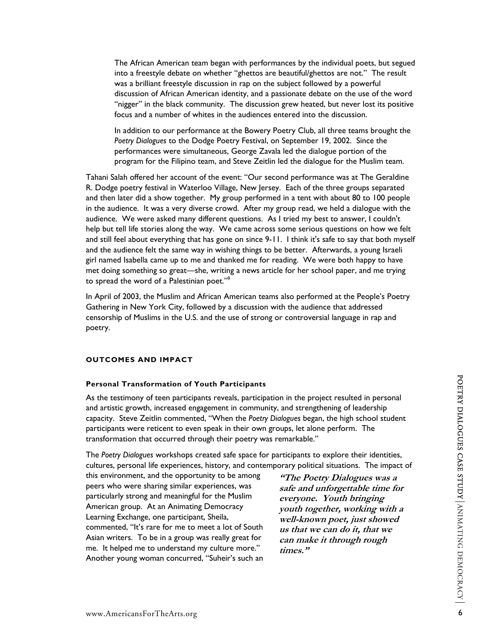The African American team began with performances by the individual poets, but segued into a freestyle debate on whether "ghettos are beautiful/ghettos are not." The result was a brilliant freestyle discussion in rap on the subject followed by a powerful discussion of African American identity, and a passionate debate on the use of the word "nigger" in the black community. The discussion grew heated, but never lost its positive focus and a number of whites in the audiences entered into the discussion.

In addition to our performance at the Bowery Poetry Club, all three teams brought the *Poetry Dialogues* to the Dodge Poetry Festival, on September 19, 2002. Since the performances were simultaneous, George Zavala led the dialogue portion of the program for the Filipino team, and Steve Zeitlin led the dialogue for the Muslim team.

Tahani Salah offered her account of the event: "Our second performance was at The Geraldine R. Dodge poetry festival in Waterloo Village, New Jersey. Each of the three groups separated and then later did a show together. My group performed in a tent with about 80 to 100 people in the audience. It was a very diverse crowd. After my group read, we held a dialogue with the audience. We were asked many different questions. As I tried my best to answer, I couldn't help but tell life stories along the way. We came across some serious questions on how we felt and still feel about everything that has gone on since 9-11. I think it's safe to say that both myself and the audience felt the same way in wishing things to be better. Afterwards, a young Israeli girl named Isabella came up to me and thanked me for reading. We were both happy to have met doing something so great—she, writing a news article for her school paper, and me trying to spread the word of a Palestinian poet."[9](#page-20-8)

In April of 2003, the Muslim and African American teams also performed at the People's Poetry Gathering in New York City, followed by a discussion with the audience that addressed censorship of Muslims in the U.S. and the use of strong or controversial language in rap and poetry.

# **OUTCOMES AND IMPACT**

#### **Personal Transformation of Youth Participants**

As the testimony of teen participants reveals, participation in the project resulted in personal and artistic growth, increased engagement in community, and strengthening of leadership capacity. Steve Zeitlin commented, "When the *Poetry Dialogues* began, the high school student participants were reticent to even speak in their own groups, let alone perform. The transformation that occurred through their poetry was remarkable."

The *Poetry Dialogues* workshops created safe space for participants to explore their identities, cultures, personal life experiences, history, and contemporary political situations. The impact of

this environment, and the opportunity to be among peers who were sharing similar experiences, was particularly strong and meaningful for the Muslim American group. At an Animating Democracy Learning Exchange, one participant, Sheila, commented, "It's rare for me to meet a lot of South Asian writers. To be in a group was really great for me. It helped me to understand my culture more." Another young woman concurred, "Suheir's such an

**"The Poetry Dialogues was a safe and unforgettable time for**  everyone. Youth bringing **youth together, working with a well-known poet, just showed us that we can do it, that we can make it through rough times."**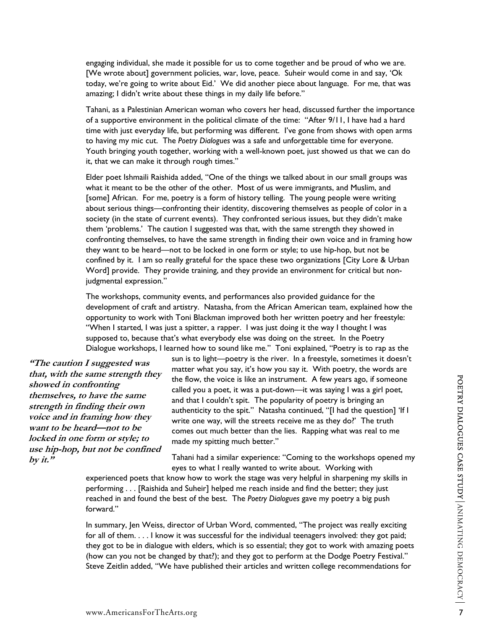engaging individual, she made it possible for us to come together and be proud of who we are. [We wrote about] government policies, war, love, peace. Suheir would come in and say, 'Ok today, we're going to write about Eid.' We did another piece about language. For me, that was amazing; I didn't write about these things in my daily life before."

Tahani, as a Palestinian American woman who covers her head, discussed further the importance of a supportive environment in the political climate of the time: "After 9/11, I have had a hard time with just everyday life, but performing was different. I've gone from shows with open arms to having my mic cut. The *Poetry Dialogues* was a safe and unforgettable time for everyone. Youth bringing youth together, working with a well-known poet, just showed us that we can do it, that we can make it through rough times."

Elder poet Ishmaili Raishida added, "One of the things we talked about in our small groups was what it meant to be the other of the other. Most of us were immigrants, and Muslim, and [some] African. For me, poetry is a form of history telling. The young people were writing about serious things—confronting their identity, discovering themselves as people of color in a society (in the state of current events). They confronted serious issues, but they didn't make them 'problems.' The caution I suggested was that, with the same strength they showed in confronting themselves, to have the same strength in finding their own voice and in framing how they want to be heard—not to be locked in one form or style; to use hip-hop, but not be confined by it. I am so really grateful for the space these two organizations [City Lore & Urban Word] provide. They provide training, and they provide an environment for critical but nonjudgmental expression."

The workshops, community events, and performances also provided guidance for the development of craft and artistry. Natasha, from the African American team, explained how the opportunity to work with Toni Blackman improved both her written poetry and her freestyle: "When I started, I was just a spitter, a rapper. I was just doing it the way I thought I was supposed to, because that's what everybody else was doing on the street. In the Poetry Dialogue workshops, I learned how to sound like me." Toni explained, "Poetry is to rap as the

**"The caution I suggested was that, with the same strength they showed in confronting themselves, to have the same strength in finding their own voice and in framing how they want to be heard—not to be locked in one form or style; to use hip-hop, but not be confined by it."**

sun is to light—poetry is the river. In a freestyle, sometimes it doesn't matter what you say, it's how you say it. With poetry, the words are the flow, the voice is like an instrument. A few years ago, if someone called you a poet, it was a put-down—it was saying I was a girl poet, and that I couldn't spit. The popularity of poetry is bringing an authenticity to the spit." Natasha continued, "[I had the question] 'If I write one way, will the streets receive me as they do?' The truth comes out much better than the lies. Rapping what was real to me made my spitting much better."

Tahani had a similar experience: "Coming to the workshops opened my eyes to what I really wanted to write about. Working with

experienced poets that know how to work the stage was very helpful in sharpening my skills in performing . . . [Raishida and Suheir] helped me reach inside and find the better; they just reached in and found the best of the best. The *Poetry Dialogues* gave my poetry a big push forward."

In summary, Jen Weiss, director of Urban Word, commented, "The project was really exciting for all of them. . . . I know it was successful for the individual teenagers involved: they got paid; they got to be in dialogue with elders, which is so essential; they got to work with amazing poets (how can you not be changed by that?); and they got to perform at the Dodge Poetry Festival." Steve Zeitlin added, "We have published their articles and written college recommendations for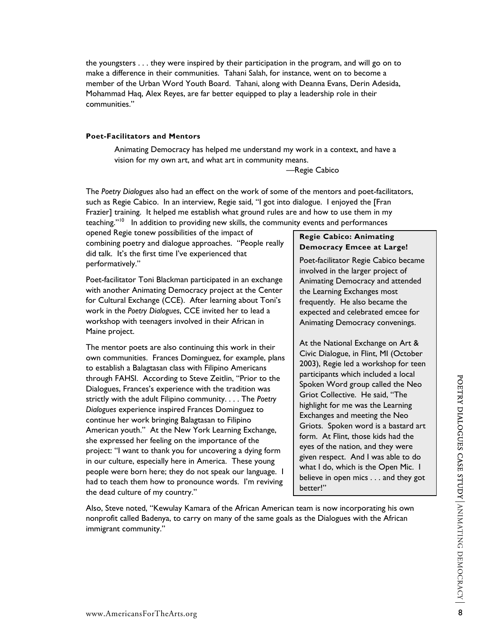make a difference in their communities. Tahani Salah, for instance, went on to become a member of the Urban Word Youth Board. Tahani, along with Deanna Evans, Derin Adesida, Mohammad Haq, Alex Reyes, are far better equipped to play a leadership role in their

# **Poet-Facilitators and Mentors**

communities."

Animating Democracy has helped me understand my work in a context, and have a vision for my own art, and what art in community means.

the youngsters . . . they were inspired by their participation in the program, and will go on to

—Regie Cabico

The *Poetry Dialogues* also had an effect on the work of some of the mentors and poet-facilitators, such as Regie Cabico. In an interview, Regie said, "I got into dialogue. I enjoyed the [Fran Frazier] training. It helped me establish what ground rules are and how to use them in my teaching."<sup>10</sup> In addition to providing new skills, the community events and performances

opened Regie tonew possibilities of the impact of combining poetry and dialogue approaches. "People really did talk. It's the first time I've experienced that performatively."

Poet-facilitator Toni Blackman participated in an exchange with another Animating Democracy project at the Center for Cultural Exchange (CCE). After learning about Toni's work in the *Poetry Dialogues*, CCE invited her to lead a workshop with teenagers involved in their African in Maine project.

The mentor poets are also continuing this work in their own communities. Frances Dominguez, for example, plans to establish a Balagtasan class with Filipino Americans through FAHSI. According to Steve Zeitlin, "Prior to the Dialogues, Frances's experience with the tradition was strictly with the adult Filipino community. . . . The *Poetry Dialogues* experience inspired Frances Dominguez to continue her work bringing Balagtasan to Filipino American youth." At the New York Learning Exchange, she expressed her feeling on the importance of the project: "I want to thank you for uncovering a dying form in our culture, especially here in America. These young people were born here; they do not speak our language. I had to teach them how to pronounce words. I'm reviving the dead culture of my country."

# **Regie Cabico: Animating Democracy Emcee at Large!**

Poet-facilitator Regie Cabico became involved in the larger project of Animating Democracy and attended the Learning Exchanges most frequently. He also became the expected and celebrated emcee for Animating Democracy convenings.

At the National Exchange on Art & Civic Dialogue, in Flint, MI (October 2003), Regie led a workshop for teen participants which included a local Spoken Word group called the Neo Griot Collective. He said, "The highlight for me was the Learning Exchanges and meeting the Neo Griots. Spoken word is a bastard art form. At Flint, those kids had the eyes of the nation, and they were given respect. And I was able to do what I do, which is the Open Mic. I believe in open mics . . . and they got better!"

Also, Steve noted, "Kewulay Kamara of the African American team is now incorporating his own nonprofit called Badenya, to carry on many of the same goals as the Dialogues with the African immigrant community."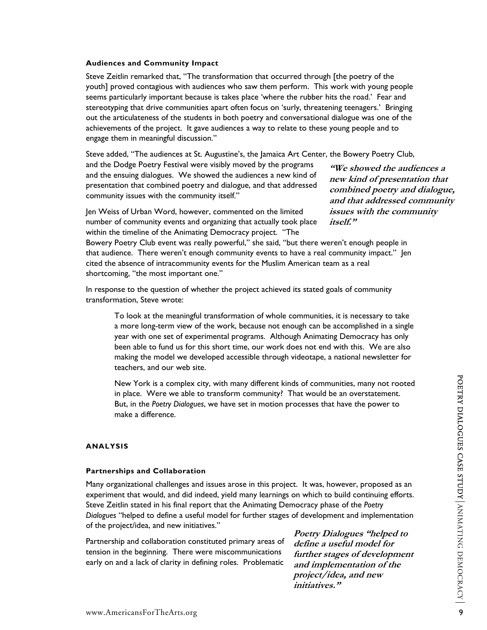Steve Zeitlin remarked that, "The transformation that occurred through [the poetry of the youth] proved contagious with audiences who saw them perform. This work with young people seems particularly important because is takes place 'where the rubber hits the road.' Fear and stereotyping that drive communities apart often focus on 'surly, threatening teenagers.' Bringing out the articulateness of the students in both poetry and conversational dialogue was one of the achievements of the project. It gave audiences a way to relate to these young people and to engage them in meaningful discussion."

Steve added, "The audiences at St. Augustine's, the Jamaica Art Center, the Bowery Poetry Club,

and the Dodge Poetry Festival were visibly moved by the programs and the ensuing dialogues. We showed the audiences a new kind of presentation that combined poetry and dialogue, and that addressed community issues with the community itself."

Jen Weiss of Urban Word, however, commented on the limited number of community events and organizing that actually took place within the timeline of the Animating Democracy project. "The

**"We showed the audiences a new kind of presentation that combined poetry and dialogue, and that addressed community issues with the community itself."**

Bowery Poetry Club event was really powerful," she said, "but there weren't enough people in that audience. There weren't enough community events to have a real community impact." Jen cited the absence of intracommunity events for the Muslim American team as a real shortcoming, "the most important one."

In response to the question of whether the project achieved its stated goals of community transformation, Steve wrote:

To look at the meaningful transformation of whole communities, it is necessary to take a more long-term view of the work, because not enough can be accomplished in a single year with one set of experimental programs. Although Animating Democracy has only been able to fund us for this short time, our work does not end with this. We are also making the model we developed accessible through videotape, a national newsletter for teachers, and our web site.

New York is a complex city, with many different kinds of communities, many not rooted in place. Were we able to transform community? That would be an overstatement. But, in the *Poetry Dialogues*, we have set in motion processes that have the power to make a difference.

# **ANALYSIS**

#### **Partnerships and Collaboration**

Many organizational challenges and issues arose in this project. It was, however, proposed as an experiment that would, and did indeed, yield many learnings on which to build continuing efforts. Steve Zeitlin stated in his final report that the Animating Democracy phase of the *Poetry Dialogues* "helped to define a useful model for further stages of development and implementation of the project/idea, and new initiatives."

Partnership and collaboration constituted primary areas of tension in the beginning. There were miscommunications early on and a lack of clarity in defining roles. Problematic

**Poetry Dialogues "helped to define a useful model for further stages of development and implementation of the project/idea, and new initiatives."**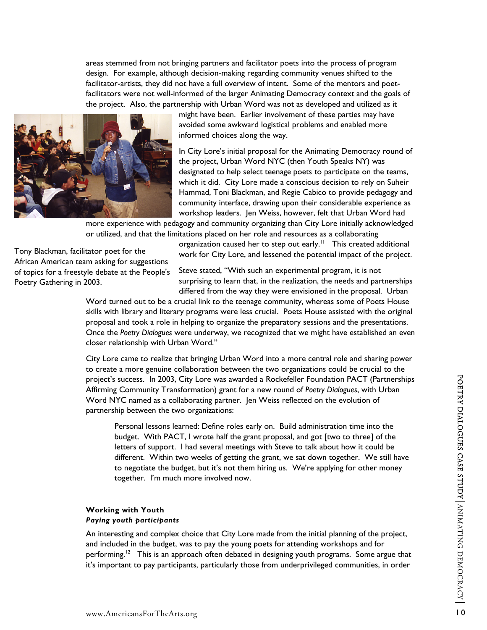areas stemmed from not bringing partners and facilitator poets into the process of program design. For example, although decision-making regarding community venues shifted to the facilitator-artists, they did not have a full overview of intent. Some of the mentors and poetfacilitators were not well-informed of the larger Animating Democracy context and the goals of the project. Also, the partnership with Urban Word was not as developed and utilized as it



might have been. Earlier involvement of these parties may have avoided some awkward logistical problems and enabled more informed choices along the way.

In City Lore's initial proposal for the Animating Democracy round of the project, Urban Word NYC (then Youth Speaks NY) was designated to help select teenage poets to participate on the teams, which it did. City Lore made a conscious decision to rely on Suheir Hammad, Toni Blackman, and Regie Cabico to provide pedagogy and community interface, drawing upon their considerable experience as workshop leaders. Jen Weiss, however, felt that Urban Word had

more experience with pedagogy and community organizing than City Lore initially acknowledged or utilized, and that the limitations placed on her role and resources as a collaborating

Tony Blackman, facilitator poet for the African American team asking for suggestions of topics for a freestyle debate at the People's Poetry Gathering in 2003.

organization caused her to step out early.<sup>11</sup> This created additional work for City Lore, and lessened the potential impact of the project.

Steve stated, "With such an experimental program, it is not surprising to learn that, in the realization, the needs and partnerships differed from the way they were envisioned in the proposal. Urban

skills with library and literary programs were less crucial. Poets House assisted with the original Once the Poetry Dialogues were underway, we recognized that we might have established an even Word turned out to be a crucial link to the teenage community, whereas some of Poets House proposal and took a role in helping to organize the preparatory sessions and the presentations. closer relationship with Urban Word."

City Lore came to realize that bringing Urban Word into a more central role and sharing power project's success. In 2003, City Lore was awarded a Rockefeller Foundation PACT (Partnerships to create a more genuine collaboration between the two organizations could be crucial to the Affirming Community Transformation) grant for a new round of *Poetry Dialogues*, with Urban Word NYC named as a collaborating partner. Jen Weiss reflected on the evolution of partnership between the two organizations:

Personal lessons learned: Define roles early on. Build administration time into the different. Within two weeks of getting the grant, we sat down together. We still have budget. With PACT, I wrote half the grant proposal, and got [two to three] of the letters of support. I had several meetings with Steve to talk about how it could be to negotiate the budget, but it's not them hiring us. We're applying for other money together. I'm much more involved now.

# **ith Youth Working w Paying youth participants**

An interesting and complex choice that City Lore made from the initial planning of the project, performing.<sup>12</sup> This is an approach often debated in designing youth programs. Some argue that and included in the budget, was to pay the young poets for attending workshops and for it's important to pay participants, particularly those from underprivileged communities, in order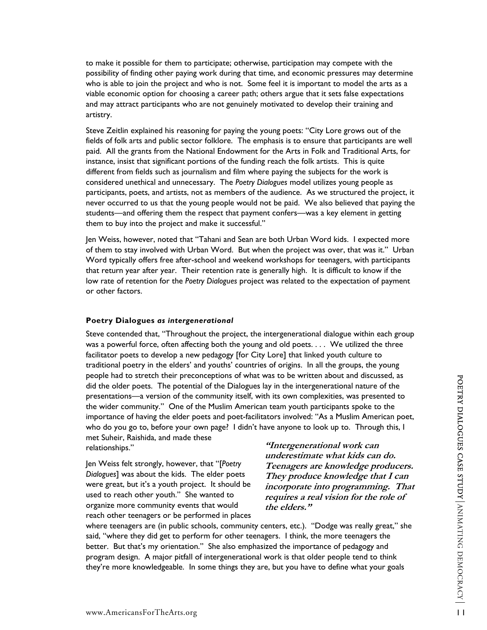to make it possible for them to participate; otherwise, participation may compete with the possibility of finding other paying work during that time, and economic pressures may deter mine who is able to join the project and who is not. Some feel it is important to model the arts as a viable economic option for choosing a career path; others argue that it sets false expectations and may attract participants who are not genuinely motivated to develop their training and artistry.

Steve Zeitlin explained his reasoning for paying the young poets: "City Lore grows out of the fields of folk arts and public sector folklore. The emphasis is to ensure that participants are well participants, poets, and artists, not as members of the audience. As we structured the project, it paid. All the grants from the National Endowment for the Arts in Folk and Traditional Arts, for instance, insist that significant portions of the funding reach the folk artists. This is quite different from fields such as journalism and film where paying the subjects for the work is considered unethical and unnecessary. The *Poetry Dialogues* model utilizes young people as never occurred to us that the young people would not be paid. We also believed that paying the students—and offering them the respect that payment confers—was a key element in getting them to buy into the project and make it successful."

Jen Weiss, however, noted that "Tahani and Sean are both Urban Word kids. I expected more low rate of retention for the *Poetry Dialogues* project was related to the expectation of payment of them to stay involved with Urban Word. But when the project was over, that was it." Urban Word typically offers free after-school and weekend workshops for teenagers, with participants that return year after year. Their retention rate is generally high. It is difficult to know if the or other factors.

#### **oetry Dialogues** *as intergenerational*  **P**

Steve contended that, "Throughout the project, the intergenerational dialogue within each group traditional poetry in the elders' and youths' countries of origins. In all the groups, the young importance of having the elder poets and poet-facilitators involved: "As a Muslim American poet, was a powerful force, often affecting both the young and old poets. . . . We utilized the three facilitator poets to develop a new pedagogy [for City Lore] that linked youth culture to people had to stretch their preconceptions of what was to be written about and discussed, as did the older poets. The potential of the Dialogues lay in the intergenerational nature of the presentations—a version of the community itself, with its own complexities, was presented to the wider community." One of the Muslim American team youth participants spoke to the who do you go to, before your own page? I didn't have anyone to look up to. Through this, I met Suheir, Raishida, and made these

relationships."

Jen Weiss felt strongly, however, that "[Poetry reach other teenagers or be performed in places *Dialogues*] was about the kids. The elder poets were great, but it's a youth project. It should be used to reach other youth." She wanted to organize more community events that would

**"Intergenerational work can do. underestimate what kids can ers. Teenagers are knowledge produc t incorporate into programming. Tha They produce knowledge that I can requires a real vision for the role of the elders."** 

where teenagers are (in public schools, community centers, etc.). "Dodge was really great," she program design. A major pitfall of intergenerational work is that older people tend to think they're more knowledgeable. In some things they are, but you have to define what your goals said, "where they did get to perform for other teenagers. I think, the more teenagers the better. But that's my orientation." She also emphasized the importance of pedagogy and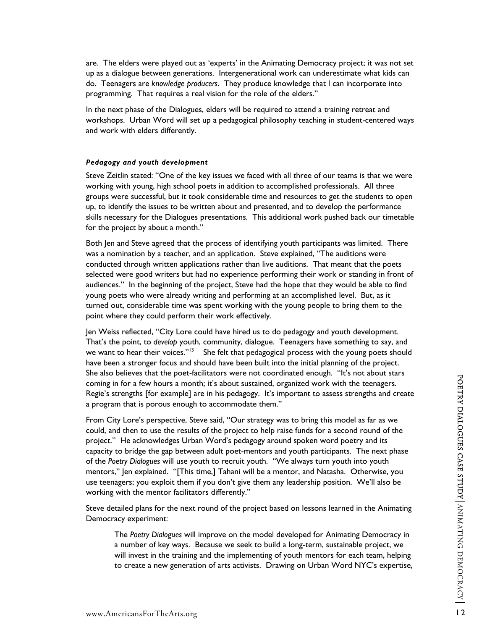are. The elders were played out as 'experts' in the Animating Democracy project; it was not se t up as a dialogue between generations. Intergenerational work can underestimate what kids can do. Teenagers are *knowledge producers*. They produce knowledge that I can incorporate into programming. That requires a real vision for the role of the elders."

In the next phase of the Dialogues, elders will be required to attend a training retreat and workshops. Urban Word will set up a pedagogical philosophy teaching in student-centered ways and work with elders differently.

#### *dagogy and youth development Pe*

Steve Zeitlin stated: "One of the key issues we faced with all three of our teams is that we were groups were successful, but it took considerable time and resources to get the students to open skills necessary for the Dialogues presentations. This additional work pushed back our timetable working with young, high school poets in addition to accomplished professionals. All three up, to identify the issues to be written about and presented, and to develop the performance for the project by about a month."

Both Jen and Steve agreed that the process of identifying youth participants was limited. There conducted through written applications rather than live auditions. That meant that the poets selected were good writers but had no experience performing their work or standing in front of turned out, considerable time was spent working with the young people to bring them to the was a nomination by a teacher, and an application. Steve explained, "The auditions were audiences." In the beginning of the project, Steve had the hope that they would be able to find young poets who were already writing and performing at an accomplished level. But, as it point where they could perform their work effectively.

Jen Weiss reflected, "City Lore could have hired us to do pedagogy and youth development. Regie's strengths [for example] are in his pedagogy. It's important to assess strengths and create That's the point, to *develop* youth, community, dialogue. Teenagers have something to say, and we want to hear their voices."<sup>13</sup> She felt that pedagogical process with the young poets should have been a stronger focus and should have been built into the initial planning of the project. She also believes that the poet-facilitators were not coordinated enough. "It's not about stars coming in for a few hours a month; it's about sustained, organized work with the teenagers. a program that is porous enough to accommodate them."

From City Lore's perspective, Steve said, "Our strategy was to bring this model as far as we capacity to bridge the gap between adult poet-mentors and youth participants. The next phase mentors," Jen explained. "[This time,] Tahani will be a mentor, and Natasha. Otherwise, you could, and then to use the results of the project to help raise funds for a second round of the project." He acknowledges Urban Word's pedagogy around spoken word poetry and its of the *Poetry Dialogues* will use youth to recruit youth. "We always turn youth into youth use teenagers; you exploit them if you don't give them any leadership position. We'll also be working with the mentor facilitators differently."

Steve detailed plans for the next round of the project based on lessons learned in the Animating Democracy experiment:

The Poetry Dialogues will improve on the model developed for Animating Democracy in will invest in the training and the implementing of youth mentors for each team, helping a number of key ways. Because we seek to build a long-term, sustainable project, we to create a new generation of arts activists. Drawing on Urban Word NYC's expertise,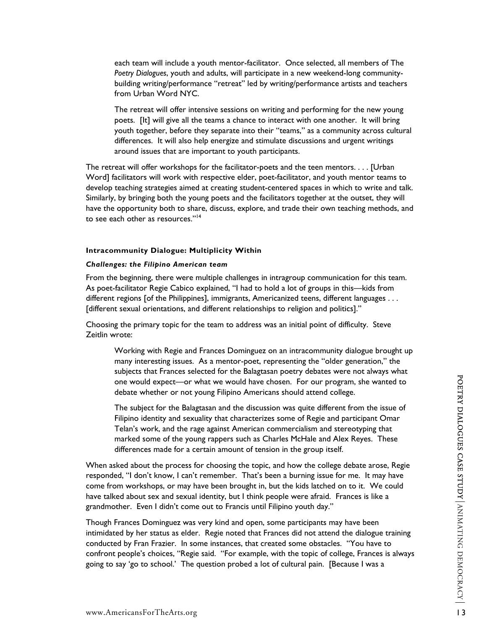each team will include a youth mentor-facilitator. Once selected, all members of The *Poetry Dialogues*, youth and adults, will participate in a new weekend-long communitybuilding writing/performance "retreat" led by writing/performance artists and teachers from Urban Word NYC.

The retreat will offer intensive sessions on writing and performing for the new young youth together, before they separate into their "teams," as a community across cultural poets. [It] will give all the teams a chance to interact with one another. It will bring differences. It will also help energize and stimulate discussions and urgent writings around issues that are important to youth participants.

The retreat will offer workshops for the facilitator-poets and the teen mentors. . . . [Urban Word] facilitators will work with respective elder, poet-facilitator, and youth mentor teams to . develop teaching strategies aimed at creating student-centered spaces in which to write and talk have the opportunity both to share, discuss, explore, and trade their own teaching methods, and Similarly, by bringing both the young poets and the facilitators together at the outset, they will to see each other as resources."[14](#page-20-13) 

#### **Intracommunity Dialogue: Multiplicity Within**

#### *Challenges: the Filipino American team*

From the beginning, there were multiple challenges in intragroup communication for this team. As poet-facilitator Regie Cabico explained, "I had to hold a lot of groups in this—kids from different regions [of the Philippines], immigrants, Americanized teens, different languages . . . [different sexual orientations, and different relationships to religion and politics]."

Choosing the primary topic for the team to address was an initial point of difficulty. Steve Zeitlin wrote:

Working with Regie and Frances Dominguez on an intracommunity dialogue brought up subjects that Frances selected for the Balagtasan poetry debates were not always what many interesting issues. As a mentor-poet, representing the "older generation," the one would expect—or what we would have chosen. For our program, she wanted to debate whether or not young Filipino Americans should attend college.

The subject for the Balagtasan and the discussion was quite different from the issue of Filipino identity and sexuality that characterizes some of Regie and participant Omar Telan's work, and the rage against American commercialism and stereotyping that marked some of the young rappers such as Charles McHale and Alex Reyes. These differences made for a certain amount of tension in the group itself.

When asked about the process for choosing the topic, and how the college debate arose, Regie responded, "I don't know, I can't remember. That's been a burning issue for me. It may have come from workshops, or may have been brought in, but the kids latched on to it. We could have talked about sex and sexual identity, but I think people were afraid. Frances is like a grandmother. Even I didn't come out to Francis until Filipino youth day."

Though Frances Dominguez was very kind and open, some participants may have been intimidated by her status as elder. Regie noted that Frances did not attend the dialogue training confront people's choices, "Regie said. "For example, with the topic of college, Frances is always conducted by Fran Frazier. In some instances, that created some obstacles. "You have to going to say 'go to school.' The question probed a lot of cultural pain. [Because I was a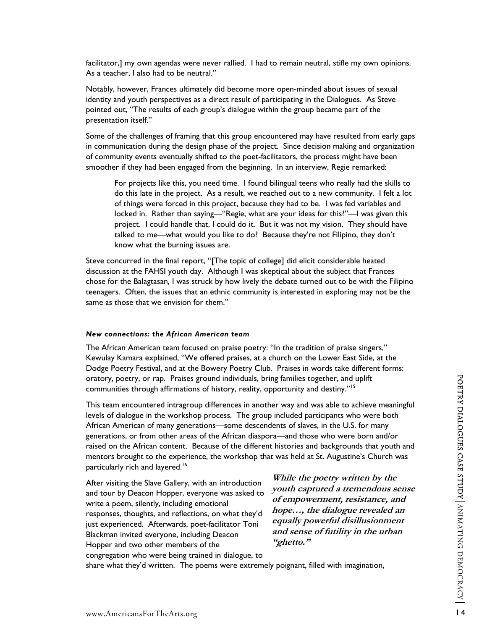facilitator,] my own agendas were never rallied. I had to remain neutral, stifle my own opinions. As a teacher, I also had to be neutral."

Notably, however, Frances ultimately did beco me more open-minded about issues of sexual identity and youth perspectives as a direct result of participating in the Dialogues. As Steve pointed out, "The results of each group's dialogue within the group became part of the presentation itself."

Some of the challenges of framing that this group encountered may have resulted from early gaps in communication during the design phase of the project. Since decision making and organization of community events eventually shifted to the poet-facilitators, the process might have been smoother if they had been engaged from the beginning. In an interview, Regie remarked:

For projects like this, you need time. I found bilingual teens who really had the skills to do this late in the project. As a result, we reached out to a new community. I felt a lot of things were forced in this project, because they had to be. I was fed variables and locked in. Rather than saying—"Regie, what are your ideas for this?"—I was given this project. I could handle that, I could do it. But it was not my vision. They should have talked to me—what would you like to do? Because they're not Filipino, they don't know what the burning issues are.

Steve concurred in the final report, "[The topic of college] did elicit considerable heated discussion at the FAHSI youth day. Although I was skeptical about the subject that Frances chose for the Balagtasan, I was struck by how lively the debate turned out to be with the Filipino teenagers. Often, the issues that an ethnic community is interested in exploring may not be the same as those that we envision for them."

#### *tions: the African American team New connec*

The African American team focused on praise poetry: "In the tradition of praise singers," Kewulay Kamara explained, "We offered praises, at a church on the Lower East Side, at the : Dodge Poetry Festival, and at the Bowery Poetry Club. Praises in words take different forms oratory, poetry, or rap. Praises ground individuals, bring families together, and uplift communities through affirmations of history, reality, opportunity and destiny."[15](#page-20-14) 

This team encountered intragroup differences in another way and was able to achieve meaningful generations, or from other areas of the African diaspora—and those who were born and/or raised on the African content. Because of the different histories and backgrounds that youth and levels of dialogue in the workshop process. The group included participants who were both African American of many generations—some descendents of slaves, in the U.S. for many mentors brought to the experience, the workshop that was held at St. Augustine's Church was particularly rich and layered.<sup>16</sup>

responses, thoughts, and reflections, on what they'd congregation who were being trained in dialogue, to and tour by Deacon Hopper, everyone was asked to write a poem, silently, including emotional just experienced. Afterwards, poet-facilitator Toni Blackman invited everyone, including Deacon Hopper and two other members of the

After visiting the Slave Gallery, with an introduction **While the poetry written by the youth captured a tremendous se of empowerment, resistance, and hope…, the dialogue revealed an equally powerful disillusionment and sense of futility in the urban "ghetto."** 

share what they'd written. The poems were extremely poignant, filled with imagination,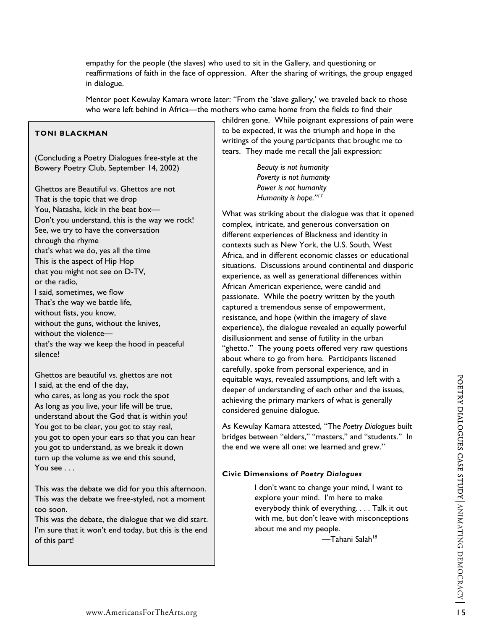empathy for the people (the slaves) who used to sit in the Gallery, and questioning or reaffirmations of faith in the face of oppression. After the sharing of writings, the group engaged in dialogue.

Mentor poet Kewulay Kamara wrote later: "From the 'slave gallery,' we traveled back to those who were left behind in Africa—the mothers who came home from the fields to find their

# **TONI BLACKMAN**

(Concluding a Poetry Dialogues free-style at the Bowery Poetry Club, September 14, 2002)

Ghettos are Beautiful vs. Ghettos are not That is the topic that we drop You, Natasha, kick in the beat box— Don't you understand, this is the way we rock! See, we try to have the conversation through the rhyme that's what we do, yes all the time This is the aspect of Hip Hop that you might not see on D-TV, or the radio, I said, sometimes, we flow That's the way we battle life, without fists, you know, without the guns, without the knives, without the violence that's the way we keep the hood in peaceful silence!

Ghettos are beautiful vs. ghettos are not I said, at the end of the day, who cares, as long as you rock the spot As long as you live, your life will be true, understand about the God that is within you! You got to be clear, you got to stay real, you got to open your ears so that you can hear you got to understand, as we break it down turn up the volume as we end this sound, You see . . .

This was the debate we did for you this afternoon. This was the debate we free-styled, not a moment too soon.

This was the debate, the dialogue that we did start. I'm sure that it won't end today, but this is the end of this part!

children gone. While poignant expressions of pain were to be expected, it was the triumph and hope in the writings of the young participants that brought me to tears. They made me recall the Jali expression:

**Poverty is not humanity**  *Beauty is not humanity Power is not humanity Humanity is hope."17* 

What was striking about the dialogue was that it opened complex, intricate, and generous conversation on Africa, and in different economic classes or educational situations. Discussions around continental and diasporic experience), the dialogue revealed an equally powerful about where to go from here. Participants listened deeper of understanding of each other and the issues, different experiences of Blackness and identity in contexts such as New York, the U.S. South, West experience, as well as generational differences within African American experience, were candid and passionate. While the poetry written by the youth captured a tremendous sense of empowerment, resistance, and hope (within the imagery of slave disillusionment and sense of futility in the urban "ghetto." The young poets offered very raw questions carefully, spoke from personal experience, and in equitable ways, revealed assumptions, and left with a achieving the primary markers of what is generally considered genuine dialogue.

As Kewulay Kamara attested, "The *Poetry Dialogues* built bridges between "elders," "masters," and "students." In the end we were all one: we learned and grew."

# **Civic Dimensions of** *Poetry Dialogues*

 I don't want to change your mind, I want to explore your mind. I'm here to make everybody think of everything. . . . Talk it out with me, but don't leave with misconceptions about me and my people.

—Tahani Salah<sup>18</sup>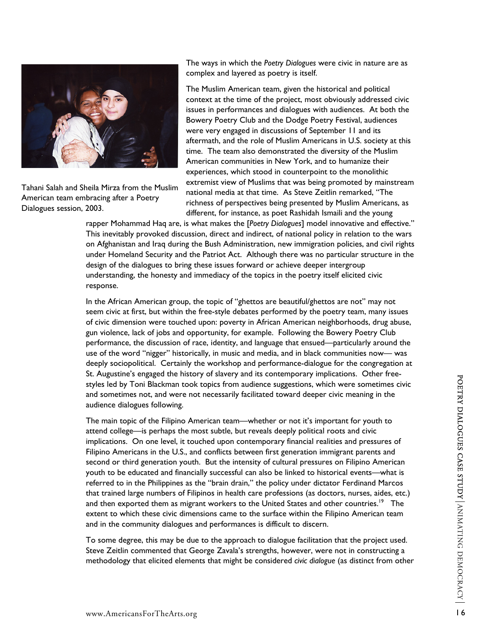

American team embracing after a Poetry Dialogues session, 2003. Tahani Salah and Sheila Mirza from the Muslim The ways in which the *Poetry Dialogues* were civic in nature are as complex and layered as poetry is itself.

The Muslim American team, given the historical and political context at the time of the project, most obviously addressed civic aftermath, and the role of Muslim Americans in U.S. society at this extremist view of Muslims that was being promoted by mainstream issues in performances and dialogues with audiences. At both the Bowery Poetry Club and the Dodge Poetry Festival, audiences were very engaged in discussions of September 11 and its time. The team also demonstrated the diversity of the Muslim American communities in New York, and to humanize their experiences, which stood in counterpoint to the monolithic national media at that time. As Steve Zeitlin remarked, "The richness of perspectives being presented by Muslim Americans, as different, for instance, as poet Rashidah Ismaili and the young

rapper Mohammad Haq are, is what makes the [*Poetry Dialogues*] model innovative and effective." This inevitably provoked discussion, direct and indirect, of national policy in relation to the wars on Afghanistan and Iraq during the Bush Administration, new immigration policies, and civil rights under Homeland Security and the Patriot Act. Although there was no particular structure in the design of the dialogues to bring these issues forward or achieve deeper intergroup understanding, the honesty and immediacy of the topics in the poetry itself elicited civic response.

In the African American group, the topic of "ghettos are beautiful/ghettos are not" may not seem civic at first, but within the free-style debates performed by the poetry team, many issues of civic dimension were touched upon: poverty in African American neighborhoods, drug abuse, gun violence, lack of jobs and opportunity, for example. Following the Bowery Poetry Club performance, the discussion of race, identity, and language that ensued—particularly around the use of the word "nigger" historically, in music and media, and in black communities now— was deeply sociopolitical. Certainly the workshop and performance-dialogue for the congregation at St. Augustine's engaged the history of slavery and its contemporary implications. Other freestyles led by Toni Blackman took topics from audience suggestions, which were sometimes civic and sometimes not, and were not necessarily facilitated toward deeper civic meaning in the audience dialogues following.

The main topic of the Filipino American team—whether or not it's important for youth to implications. On one level, it touched upon contemporary financial realities and pressures of attend college—is perhaps the most subtle, but reveals deeply political roots and civic Filipino Americans in the U.S., and conflicts between first generation immigrant parents and second or third generation youth. But the intensity of cultural pressures on Filipino American youth to be educated and financially successful can also be linked to historical events—what is referred to in the Philippines as the "brain drain," the policy under dictator Ferdinand Marcos that trained large numbers of Filipinos in health care professions (as doctors, nurses, aides, etc.) and then exported them as migrant workers to the United States and other countries.<sup>19</sup> The extent to which these civic dimensions came to the surface within the Filipino American team and in the community dialogues and performances is difficult to discern.

To some degree, this may be due to the approach to dialogue facilitation that the project used. Steve Zeitlin commented that George Zavala's strengths, however, were not in constructing a methodology that elicited elements that might be considered *civic dialogue* (as distinct from other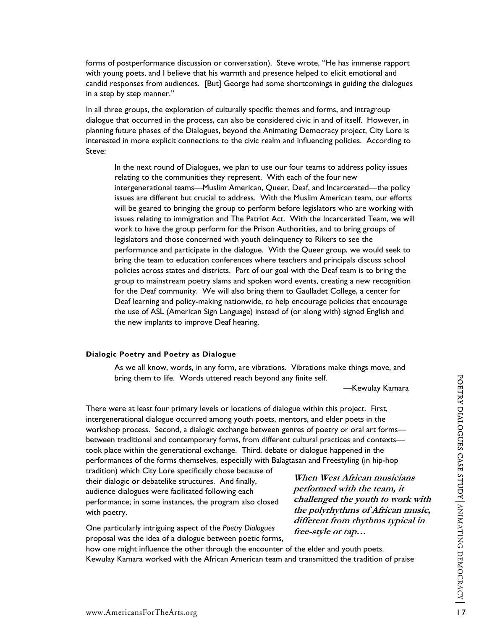forms of postperformance discussion or conversation). Steve wrote, "He has immense rapport with young poets, and I believe that his warmth and presence helped to elicit emotional and candid responses from audiences. [But] George had some shortcomings in guiding the dialog ues in a step by step manner."

In all three groups, the exploration of culturally specific themes and forms, and intragroup dialogue that occurred in the process, can also be considered civic in and of itself. However, in planning future phases of the Dialogues, beyond the Animating Democracy project, City Lore is interested in more explicit connections to the civic realm and influencing policies. According to Steve:

In the next round of Dialogues, we plan to use our four teams to address policy issues intergenerational teams—Muslim American, Queer, Deaf, and Incarcerated—the policy performance and participate in the dialogue. With the Queer group, we would seek to relating to the communities they represent. With each of the four new issues are different but crucial to address. With the Muslim American team, our efforts will be geared to bringing the group to perform before legislators who are working with issues relating to immigration and The Patriot Act. With the Incarcerated Team, we will work to have the group perform for the Prison Authorities, and to bring groups of legislators and those concerned with youth delinquency to Rikers to see the bring the team to education conferences where teachers and principals discuss school policies across states and districts. Part of our goal with the Deaf team is to bring the group to mainstream poetry slams and spoken word events, creating a new recognition for the Deaf community. We will also bring them to Gaulladet College, a center for Deaf learning and policy-making nationwide, to help encourage policies that encourage the use of ASL (American Sign Language) instead of (or along with) signed English and the new implants to improve Deaf hearing.

#### **logic Poetry and Poetry as Dialogue Dia**

As we all know, words, in any form, are vibrations. Vibrations make things move, and bring them to life. Words uttered reach beyond any finite self.

—Kewulay Kamara

There were at least four primary levels or locations of dialogue within this project. First, workshop process. Second, a dialogic exchange between genres of poetry or oral art forms performances of the forms themselves, especially with Balagtasan and Freestyling (in hip-hop intergenerational dialogue occurred among youth poets, mentors, and elder poets in the between traditional and contemporary forms, from different cultural practices and contexts took place within the generational exchange. Third, debate or dialogue happened in the

performance; in some instances, the program also closed tradition) which City Lore specifically chose because of their dialogic or debatelike structures. And finally, audience dialogues were facilitated following each with poetry.

One particularly intriguing aspect of the Poetry Dialogues proposal was the idea of a dialogue between poetic forms,

**When West African musicians performed with the team, it challenged the youth to wor k with the polyrhythms of African music, different from rhythms typical in free-style or rap…** 

how one might influence the other through the encounter of the elder and youth poets. Kewulay Kamara worked with the African American team and transmitted the tradition of praise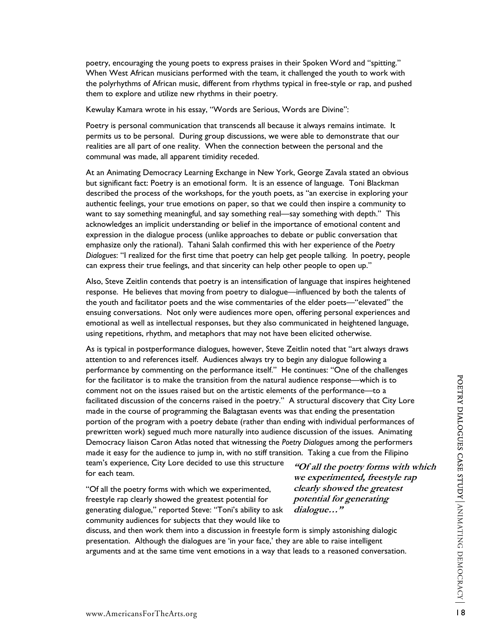poetry, encouraging the young poets to express praises in their Spoken Word and "spitting." When West African musicians performed with the team, it challenged the youth to work with the polyrhythms of African music, different from rhythms typical in free-style or rap, and pushed them to explore and utilize new rhythms in their poetry.

Kewulay Kamara wrote in his essay, "Words are Serious, Words are Divine":

Poetry is personal communication that transcends all because it always remains intimate. It permits us to be personal. During group discussions, we were able to demonstrate that our realities are all part of one reality. When the connection between the personal and the communal was made, all apparent timidity receded.

At an Animating Democracy Learning Exchange in New York, George Zavala stated an obvious Dialogues: "I realized for the first time that poetry can help get people talking. In poetry, people but significant fact: Poetry is an emotional form. It is an essence of language. Toni Blackman described the process of the workshops, for the youth poets, as "an exercise in exploring your authentic feelings, your true emotions on paper, so that we could then inspire a community to want to say something meaningful, and say something real—say something with depth." This acknowledges an implicit understanding or belief in the importance of emotional content and expression in the dialogue process (unlike approaches to debate or public conversation that emphasize only the rational). Tahani Salah confirmed this with her experience of the *Poetry*  can express their true feelings, and that sincerity can help other people to open up."

Also, Steve Zeitlin contends that poetry is an intensification of language that inspires heightened response. He believes that moving from poetry to dialogue—influenced by both the talents of the youth and facilitator poets and the wise commentaries of the elder poets—"elevated" the ensuing conversations. Not only were audiences more open, offering personal experiences and emotional as well as intellectual responses, but they also communicated in heightened language, using repetitions, rhythm, and metaphors that may not have been elicited otherwise.

performance by commenting on the performance itself." He continues: "One of the challenges facilitated discussion of the concerns raised in the poetry." A structural discovery that City Lore portion of the program with a poetry debate (rather than ending with individual performances of As is typical in postperformance dialogues, however, Steve Zeitlin noted that "art always draws attention to and references itself. Audiences always try to begin any dialogue following a for the facilitator is to make the transition from the natural audience response—which is to comment not on the issues raised but on the artistic elements of the performance—to a made in the course of programming the Balagtasan events was that ending the presentation prewritten work) segued much more naturally into audience discussion of the issues. Animating Democracy liaison Caron Atlas noted that witnessing the *Poetry Dialogues* among the performers made it easy for the audience to jump in, with no stiff transition. Taking a cue from the Filipino team's experience, City Lore decided to use this structure for each team. **"Of all the poetry forms with which**

"Of all the poetry forms with which we experimented, generating dialogue," reported Steve: "Toni's ability to ask freestyle rap clearly showed the greatest potential for community audiences for subjects that they would like to

**we experimented, freestyle rap clearly showed the greatest potential for generating dialogue…"**

discuss, and then work them into a discussion in freestyle form is simply astonishing dialogic arguments and at the same time vent emotions in a way that leads to a reasoned conversation. presentation. Although the dialogues are 'in your face,' they are able to raise intelligent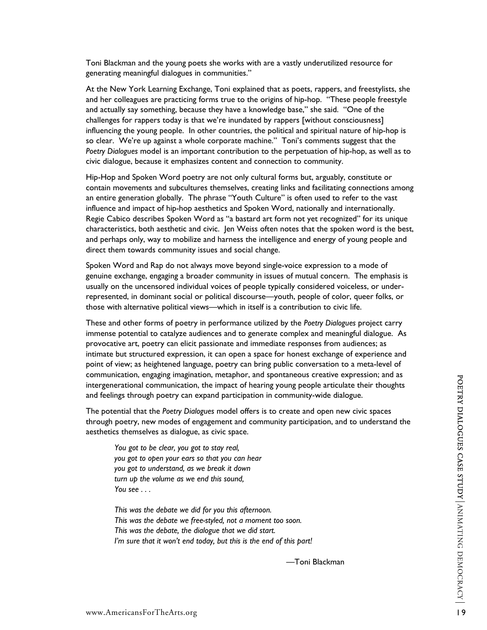Toni Blackman and the young poets she works with are a vastly underutilized resource for generating meaningful dialogues in communities."

At the New York Learning Exchange, Toni explained that as poets, rappers, and freestylists, she and her colleagues are practicing forms true to the origins of hip-hop. "These people freestyle and actually say something, because they have a knowledge base," she said. "One of the challenges for rappers today is that we're inundated by rappers [without consciousness] influencing the young people. In other countries, the political and spiritual nature of hip-hop is so clear. We're up against a whole corporate machine." Toni's comments suggest that the *Poetry Dialogues* model is an important contribution to the perpetuation of hip-hop, as well as to civic dialogue, because it emphasizes content and connection to community.

Hip-Hop and Spoken Word poetry are not only cultural forms but, arguably, constitute or contain movements and subcultures themselves, creating links and facilitating connections among an entire generation globally. The phrase "Youth Culture" is often used to refer to the vast influence and impact of hip-hop aesthetics and Spoken Word, nationally and internationally. Regie Cabico describes Spoken Word as "a bastard art form not yet recognized" for its unique characteristics, both aesthetic and civic. Jen Weiss often notes that the spoken word is the best, and perhaps only, way to mobilize and harness the intelligence and energy of young people and direct them towards community issues and social change.

Spoken Word and Rap do not always move beyond single-voice expression to a mode of genuine exchange, engaging a broader community in issues of mutual concern. The emphasis is usually on the uncensored individual voices of people typically considered voiceless, or underrepresented, in dominant social or political discourse—youth, people of color, queer folks, or those with alternative political views—which in itself is a contribution to civic life.

These and other forms of poetry in performance utilized by the *Poetry Dialogues* project carry immense potential to catalyze audiences and to generate complex and meaningful dialogue. As provocative art, poetry can elicit passionate and immediate responses from audiences; as intimate but structured expression, it can open a space for honest exchange of experience and point of view; as heightened language, poetry can bring public conversation to a meta-level of communication, engaging imagination, metaphor, and spontaneous creative expression; and as intergenerational communication, the impact of hearing young people articulate their thoughts and feelings through poetry can expand participation in community-wide dialogue.

The potential that the *Poetry Dialogues* model offers is to create and open new civic spaces through poetry, new modes of engagement and community participation, and to understand the aesthetics themselves as dialogue, as civic space.

*You got to be clear, you got to stay real, you got to open your ears so that you can hear you got to understand, as we break it down turn up the volume as we end this sound, You see . . .* 

*This was the debate we did for you this afternoon. This was the debate we free-styled, not a moment too soon. This was the debate, the dialogue that we did start. I'm sure that it won't end today, but this is the end of this part!* 

—Toni Blackman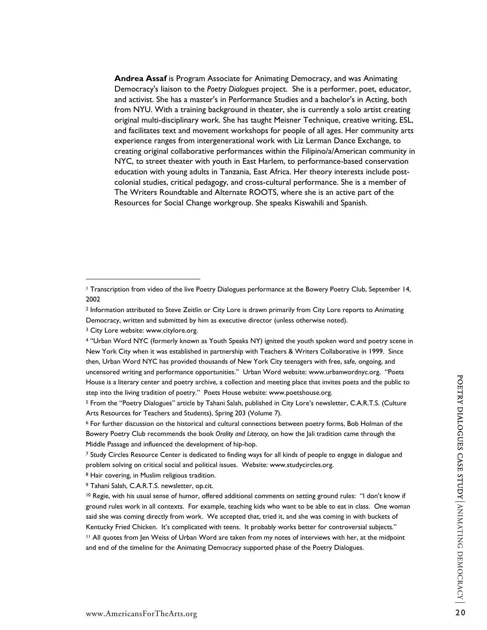**Andrea Assaf** is Program Associate for Animating Democracy, and was Animating Democracy's liaison to the *Poetry Dialogues* project. She is a performer, poet, educator, and activist. She has a master's in Performance Studies and a bachelor's in Acting, both from NYU. With a training background in theater, she is currently a solo artist creating original multi-disciplinary work. She has taught Meisner Technique, creative writing, ESL, and facilitates text and movement workshops for people of all ages. Her community arts experience ranges from intergenerational work with Liz Lerman Dance Exchange, to creating original collaborative performances within the Filipino/a/American community in NYC, to street theater with youth in East Harlem, to performance-based conservation education with young adults in Tanzania, East Africa. Her theory interests include postcolonial studies, critical pedagogy, and cross-cultural performance. She is a member of The Writers Roundtable and Alternate ROOTS, where she is an active part of the Resources for Social Change workgroup. She speaks Kiswahili and Spanish.

 $\overline{a}$ 

<sup>1</sup> Transcription from video of the live Poetry Dialogues performance at the Bowery Poetry Club, September 14, 2002

<sup>2</sup> Information attributed to Steve Zeitlin or City Lore is drawn primarily from City Lore reports to Animating Democracy, written and submitted by him as executive director (unless otherwise noted).

<sup>&</sup>lt;sup>3</sup> City Lore website: www.citylore.org.

<sup>4 &</sup>quot;Urban Word NYC (formerly known as Youth Speaks NY) ignited the youth spoken word and poetry scene in New York City when it was established in partnership with Teachers & Writers Collaborative in 1999. Since then, Urban Word NYC has provided thousands of New York City teenagers with free, safe, ongoing, and uncensored writing and performance opportunities." Urban Word website: www.urbanwordnyc.org. "Poets House is a literary center and poetry archive, a collection and meeting place that invites poets and the public to step into the living tradition of poetry." Poets House website: www.poetshouse.org.

<sup>5</sup> From the "Poetry Dialogues" article by Tahani Salah, published in City Lore's newsletter, C.A.R.T.S. (Culture Arts Resources for Teachers and Students), Spring 203 (Volume 7).

<sup>6</sup> For further discussion on the historical and cultural connections between poetry forms, Bob Holman of the Bowery Poetry Club recommends the book *Orality and Literacy,* on how the Jali tradition came through the Middle Passage and influenced the development of hip-hop.

<sup>7</sup> Study Circles Resource Center is dedicated to finding ways for all kinds of people to engage in dialogue and problem solving on critical social and political issues. Website: www.studycircles.org.

<sup>8</sup> Hair covering, in Muslim religious tradition.

<sup>9</sup> Tahani Salah, C.A.R.T.S. newsletter, op.cit.

<sup>10</sup> Regie, with his usual sense of humor, offered additional comments on setting ground rules: "I don't know if ground rules work in all contexts. For example, teaching kids who want to be able to eat in class. One woman said she was coming directly from work. We accepted that, tried it, and she was coming in with buckets of Kentucky Fried Chicken. It's complicated with teens. It probably works better for controversial subjects."

<sup>11</sup> All quotes from Jen Weiss of Urban Word are taken from my notes of interviews with her, at the midpoint and end of the timeline for the Animating Democracy supported phase of the Poetry Dialogues.